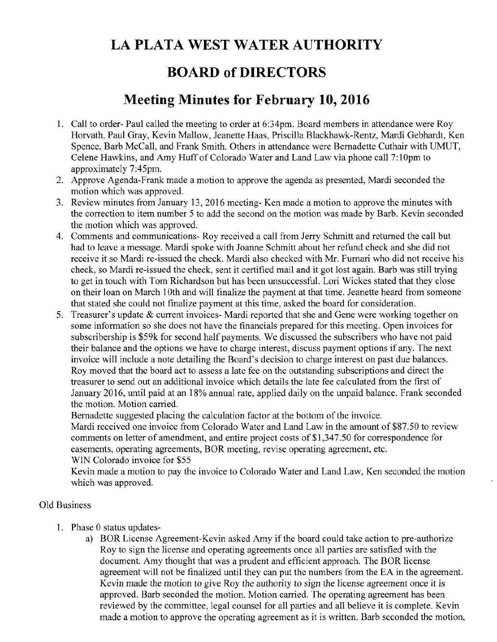## **LA PLATA WEST WATER AUTHORITY**

## **BOARD of DIRECTORS**

## **Meeting Minutes for February 10, 2016**

- 1. Call to order- Paul called the meeting to order at 6:34pm. Board members in attendance were Roy Horvath, Paul Gray, Kevin Mallow, Jeanette Haas, Priscilla Blackhawk-Rentz, Mardi Gebhardt, Ken Spence, Barb McCall, and Frank Smith. Others in attendance were Bernadette Cuthair with UMUT, Celene Hawkins, and Amy Huff of Colorado Water and Land Law via phone call 7:10pm to approximately 7:45pm.
- 2. Approve Agenda-Frank made a motion to approve the agenda as presented, Mardi seconded the motion which was approved.
- 3. Review minutes from January 13, 2016 meeting- Ken made a motion to approve the minutes with the correction to item number 5 to add the second on the motion was made by Barb. Kevin seconded the motion which was approved.
- 4. Comments and communications- Roy received a call from Jerry Schmitt and returned the call but had to leave a message. Mardi spoke with Joanne Schmitt about her refund check and she did not receive it so Mardi re-issued the check. Mardi also checked with Mr. Furnari who did not receive his check, so Mardi re-issued the check, sent it certified mail and it got lost again. Barb was still trying to get in touch with Tom Richardson but has been unsuccessful. Lori Wickes stated that they close on their loan on March 10th and will finalize the payment at that time. Jeanette heard from someone that stated she could not finalize payment at this time, asked the board for consideration.
- 5. Treasurer's update & current invoices- Mardi reported that she and Gene were working together on some information so she does not have the financials prepared for this meeting. Open invoices for subscribership is \$59k for second half payments. We discussed the subscribers who have not paid their balance and the options we have to charge interest, discuss payment options if any. The next invoice will include a note detailing the Board's decision to charge interest on past due balances. Roy moved that the board act to assess a late fee on the outstanding subscriptions and direct the treasurer to send out an additional invoice which details the late fee calculated from the first of January 2016, until paid at an 18% annual rate, applied daily on the unpaid balance. Frank seconded the motion. Motion carried.

Bernadette suggested placing the calculation factor at the bottom of the invoice.

Mardi received one invoice from Colorado Water and Land Law in the amount of \$87.50 to review comments on letter of amendment, and entire project costs of \$1,347.50 for correspondence for easements, operating agreements, BOR meeting, revise operating agreement, etc. WIN Colorado invoice for \$55

Kevin made a motion to pay the invoice to Colorado Water and Land Law, Ken seconded the motion which was approved.

## Old Business

- 1. Phase 0 status updates
	- a) BOR License Agreement-Kevin asked Amy if the board could take action to pre-authorize Roy to sign the license and operating agreements once all parties are satisfied with the document. Amy thought that was a prudent and efficient approach. The BOR license agreement will not be finalized until they can put the numbers from the EA in the agreement. Kevin made the motion to give Roy the authority to sign the license agreement once it is approved. Barb seconded the motion. Motion carried. The operating agreement has been reviewed by the committee, legal counsel for all parties and all believe it is complete. Kevin made a motion to approve the operating agreement as it is written. Barb seconded the motion,